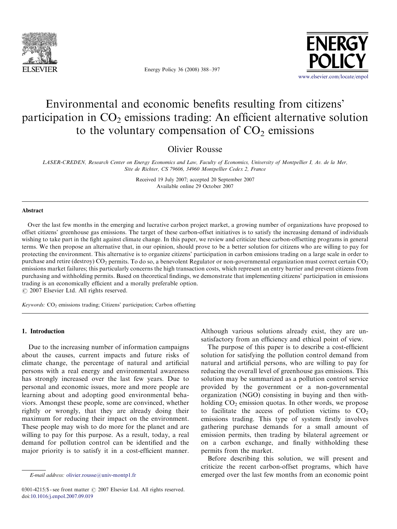

Energy Policy 36 (2008) 388–397



# Environmental and economic benefits resulting from citizens' participation in  $CO<sub>2</sub>$  emissions trading: An efficient alternative solution to the voluntary compensation of  $CO<sub>2</sub>$  emissions

Olivier Rousse

LASER-CREDEN, Research Center on Energy Economics and Law, Faculty of Economics, University of Montpellier I, Av. de la Mer, Site de Richter, CS 79606, 34960 Montpellier Cedex 2, France

> Received 19 July 2007; accepted 20 September 2007 Available online 29 October 2007

## Abstract

Over the last few months in the emerging and lucrative carbon project market, a growing number of organizations have proposed to offset citizens' greenhouse gas emissions. The target of these carbon-offset initiatives is to satisfy the increasing demand of individuals wishing to take part in the fight against climate change. In this paper, we review and criticize these carbon-offsetting programs in general terms. We then propose an alternative that, in our opinion, should prove to be a better solution for citizens who are willing to pay for protecting the environment. This alternative is to organize citizens' participation in carbon emissions trading on a large scale in order to purchase and retire (destroy) CO<sub>2</sub> permits. To do so, a benevolent Regulator or non-governmental organization must correct certain CO<sub>2</sub> emissions market failures; this particularly concerns the high transaction costs, which represent an entry barrier and prevent citizens from purchasing and withholding permits. Based on theoretical findings, we demonstrate that implementing citizens' participation in emissions trading is an economically efficient and a morally preferable option.  $\odot$  2007 Elsevier Ltd. All rights reserved.

 $Keywords: CO<sub>2</sub>$  emissions trading; Citizens' participation; Carbon offsetting

#### 1. Introduction

Due to the increasing number of information campaigns about the causes, current impacts and future risks of climate change, the percentage of natural and artificial persons with a real energy and environmental awareness has strongly increased over the last few years. Due to personal and economic issues, more and more people are learning about and adopting good environmental behaviors. Amongst these people, some are convinced, whether rightly or wrongly, that they are already doing their maximum for reducing their impact on the environment. These people may wish to do more for the planet and are willing to pay for this purpose. As a result, today, a real demand for pollution control can be identified and the major priority is to satisfy it in a cost-efficient manner. Although various solutions already exist, they are unsatisfactory from an efficiency and ethical point of view.

The purpose of this paper is to describe a cost-efficient solution for satisfying the pollution control demand from natural and artificial persons, who are willing to pay for reducing the overall level of greenhouse gas emissions. This solution may be summarized as a pollution control service provided by the government or a non-governmental organization (NGO) consisting in buying and then withholding  $CO<sub>2</sub>$  emission quotas. In other words, we propose to facilitate the access of pollution victims to  $CO<sub>2</sub>$ emissions trading. This type of system firstly involves gathering purchase demands for a small amount of emission permits, then trading by bilateral agreement or on a carbon exchange, and finally withholding these permits from the market.

Before describing this solution, we will present and criticize the recent carbon-offset programs, which have emerged over the last few months from an economic point

E-mail address: [olivier.rousse@univ-montp1.fr](mailto:olivier.rousse@univ-montp1.fr)

<sup>0301-4215/</sup> $\$  - see front matter  $\circ$  2007 Elsevier Ltd. All rights reserved. doi:[10.1016/j.enpol.2007.09.019](dx.doi.org/10.1016/j.enpol.2007.09.019)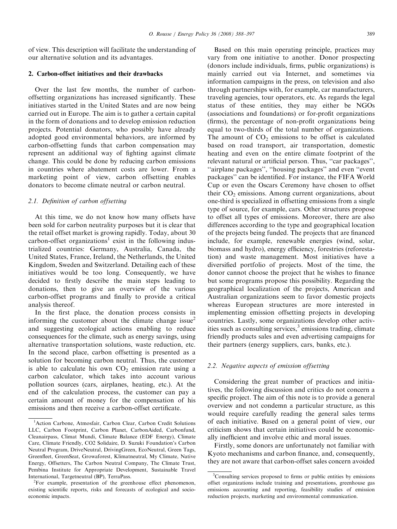of view. This description will facilitate the understanding of our alternative solution and its advantages.

## 2. Carbon-offset initiatives and their drawbacks

Over the last few months, the number of carbonoffsetting organizations has increased significantly. These initiatives started in the United States and are now being carried out in Europe. The aim is to gather a certain capital in the form of donations and to develop emission reduction projects. Potential donators, who possibly have already adopted good environmental behaviors, are informed by carbon-offsetting funds that carbon compensation may represent an additional way of fighting against climate change. This could be done by reducing carbon emissions in countries where abatement costs are lower. From a marketing point of view, carbon offsetting enables donators to become climate neutral or carbon neutral.

## 2.1. Definition of carbon offsetting

At this time, we do not know how many offsets have been sold for carbon neutrality purposes but it is clear that the retail offset market is growing rapidly. Today, about 30 carbon-offset organizations<sup>1</sup> exist in the following industrialized countries: Germany, Australia, Canada, the United States, France, Ireland, the Netherlands, the United Kingdom, Sweden and Switzerland. Detailing each of these initiatives would be too long. Consequently, we have decided to firstly describe the main steps leading to donations, then to give an overview of the various carbon-offset programs and finally to provide a critical analysis thereof.

In the first place, the donation process consists in informing the customer about the climate change issue and suggesting ecological actions enabling to reduce consequences for the climate, such as energy savings, using alternative transportation solutions, waste reduction, etc. In the second place, carbon offsetting is presented as a solution for becoming carbon neutral. Thus, the customer is able to calculate his own  $CO<sub>2</sub>$  emission rate using a carbon calculator, which takes into account various pollution sources (cars, airplanes, heating, etc.). At the end of the calculation process, the customer can pay a certain amount of money for the compensation of his emissions and then receive a carbon-offset certificate.

Based on this main operating principle, practices may vary from one initiative to another. Donor prospecting (donors include individuals, firms, public organizations) is mainly carried out via Internet, and sometimes via information campaigns in the press, on television and also through partnerships with, for example, car manufacturers, traveling agencies, tour operators, etc. As regards the legal status of these entities, they may either be NGOs (associations and foundations) or for-profit organizations (firms), the percentage of non-profit organizations being equal to two-thirds of the total number of organizations. The amount of  $CO<sub>2</sub>$  emissions to be offset is calculated based on road transport, air transportation, domestic heating and even on the entire climate footprint of the relevant natural or artificial person. Thus, ''car packages'', "airplane packages", "housing packages" and even "event packages'' can be identified. For instance, the FIFA World Cup or even the Oscars Ceremony have chosen to offset their  $CO<sub>2</sub>$  emissions. Among current organizations, about one-third is specialized in offsetting emissions from a single type of source, for example, cars. Other structures propose to offset all types of emissions. Moreover, there are also differences according to the type and geographical location of the projects being funded. The projects that are financed include, for example, renewable energies (wind, solar, biomass and hydro), energy efficiency, forestries (reforestation) and waste management. Most initiatives have a diversified portfolio of projects. Most of the time, the donor cannot choose the project that he wishes to finance but some programs propose this possibility. Regarding the geographical localization of the projects, American and Australian organizations seem to favor domestic projects whereas European structures are more interested in implementing emission offsetting projects in developing countries. Lastly, some organizations develop other activities such as consulting services, $3$  emissions trading, climate friendly products sales and even advertising campaigns for their partners (energy suppliers, cars, banks, etc.).

#### 2.2. Negative aspects of emission offsetting

Considering the great number of practices and initiatives, the following discussion and critics do not concern a specific project. The aim of this note is to provide a general overview and not condemn a particular structure, as this would require carefully reading the general sales terms of each initiative. Based on a general point of view, our criticism shows that certain initiatives could be economically inefficient and involve ethic and moral issues.

Firstly, some donors are unfortunately not familiar with Kyoto mechanisms and carbon finance, and, consequently, they are not aware that carbon-offset sales concern avoided

<sup>&</sup>lt;sup>1</sup>Action Carbone, Atmosfair, Carbon Clear, Carbon Credit Solutions LLC, Carbon Footprint, Carbon Planet, CarbonAided, Carbonfund, Cleanairpass, Climat Mundi, Climate Balance (EDF Energy), Climate Care, Climate Friendly, CO2 Solidaire, D. Suzuki Foundation's Carbon Neutral Program, DriveNeutral, DrivingGreen, EcoNeutral, Green Tags, Greenfleet, GreenSeat, Growaforest, Klimatneutral, My Climate, Native Energy, Offsetters, The Carbon Neutral Company, The Climate Trust, Pembina Institute for Appropriate Development, Sustainable Travel International, Targetneutral (BP), TerraPass. <sup>2</sup>

 ${}^{2}$ For example, presentation of the greenhouse effect phenomenon, existing scientific reports, risks and forecasts of ecological and socioeconomic impacts.

<sup>&</sup>lt;sup>3</sup>Consulting services proposed to firms or public entities by emissions offset organizations include training and presentations, greenhouse gas emissions accounting and reporting, feasibility studies of emission reduction projects, marketing and environmental communication.